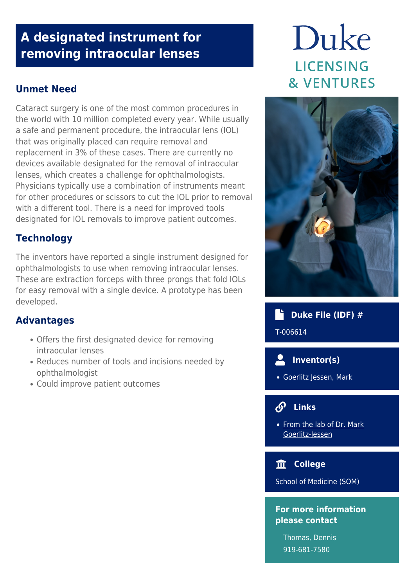## **A designated instrument for removing intraocular lenses**

#### **Unmet Need**

Cataract surgery is one of the most common procedures in the world with 10 million completed every year. While usually a safe and permanent procedure, the intraocular lens (IOL) that was originally placed can require removal and replacement in 3% of these cases. There are currently no devices available designated for the removal of intraocular lenses, which creates a challenge for ophthalmologists. Physicians typically use a combination of instruments meant for other procedures or scissors to cut the IOL prior to removal with a different tool. There is a need for improved tools designated for IOL removals to improve patient outcomes.

#### **Technology**

The inventors have reported a single instrument designed for ophthalmologists to use when removing intraocular lenses. These are extraction forceps with three prongs that fold IOLs for easy removal with a single device. A prototype has been developed.

#### **Advantages**

- Offers the first designated device for removing intraocular lenses
- Reduces number of tools and incisions needed by ophthalmologist
- Could improve patient outcomes

# Duke **LICENSING & VENTURES**



 **Duke File (IDF) #**

T-006614

 **Inventor(s)**

Goerlitz Jessen, Mark

### **Links**

• [From the lab of Dr. Mark](https://www.mneye.com/our-team-minneapolis/mark-f-goerlitz-jessen-m-d/) [Goerlitz-Jessen](https://www.mneye.com/our-team-minneapolis/mark-f-goerlitz-jessen-m-d/)

 **College**

School of Medicine (SOM)

#### **For more information please contact**

Thomas, Dennis 919-681-7580